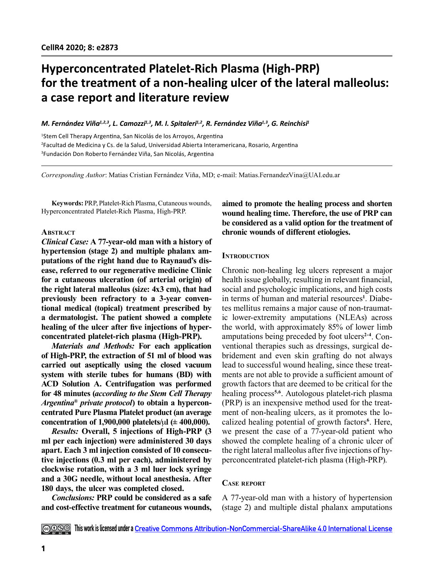# **Hyperconcentrated Platelet-Rich Plasma (High-PRP) for the treatment of a non-healing ulcer of the lateral malleolus: a case report and literature review**

*M. Fernández Viña<sup>1,2,3</sup>, L. Camozzi<sup>1,3</sup>, M. I. Spitaleri<sup>1,2</sup>, R. Fernández Viña<sup>1,3</sup>, G. Reinchisi<sup>1</sup>* 

1 Stem Cell Therapy Argentina, San Nicolás de los Arroyos, Argentina 2 Facultad de Medicina y Cs. de la Salud, Universidad Abierta Interamericana, Rosario, Argentina 3 Fundación Don Roberto Fernández Viña, San Nicolás, Argentina

*Corresponding Author*: Matias Cristian Fernández Viña, MD; e-mail: Matias.FernandezVina@UAI.edu.ar

**Keywords:** PRP, Platelet-Rich Plasma, Cutaneous wounds, Hyperconcentrated Platelet-Rich Plasma, High-PRP.

## **Abstract**

*Clinical Case:* **A 77-year-old man with a history of hypertension (stage 2) and multiple phalanx amputations of the right hand due to Raynaud's disease, referred to our regenerative medicine Clinic for a cutaneous ulceration (of arterial origin) of the right lateral malleolus (size: 4x3 cm), that had previously been refractory to a 3-year conventional medical (topical) treatment prescribed by a dermatologist. The patient showed a complete healing of the ulcer after five injections of hyperconcentrated platelet-rich plasma (High-PRP).**

*Materials and Methods:* **For each application of High-PRP, the extraction of 51 ml of blood was carried out aseptically using the closed vacuum system with sterile tubes for humans (BD) with ACD Solution A. Centrifugation was performed for 48 minutes (***according to the Stem Cell Therapy Argentina***®** *private protocol***) to obtain a hyperconcentrated Pure Plasma Platelet product (an average concentration of 1,900,000 platelets/** $\mu$ **l (** $\pm$  **400,000).** 

*Results:* **Overall, 5 injections of High-PRP (3 ml per each injection) were administered 30 days apart. Each 3 ml injection consisted of 10 consecutive injections (0.3 ml per each), administered by clockwise rotation, with a 3 ml luer lock syringe and a 30G needle, without local anesthesia. After 180 days, the ulcer was completed closed.**

*Conclusions:* **PRP could be considered as a safe and cost-effective treatment for cutaneous wounds,** 

**aimed to promote the healing process and shorten wound healing time. Therefore, the use of PRP can be considered as a valid option for the treatment of chronic wounds of different etiologies.**

## **INTRODUCTION**

Chronic non-healing leg ulcers represent a major health issue globally, resulting in relevant financial, social and psychologic implications, and high costs in terms of human and material resources**<sup>1</sup>** . Diabetes mellitus remains a major cause of non-traumatic lower-extremity amputations (NLEAs) across the world, with approximately 85% of lower limb amputations being preceded by foot ulcers**2-4**. Conventional therapies such as dressings, surgical debridement and even skin grafting do not always lead to successful wound healing, since these treatments are not able to provide a sufficient amount of growth factors that are deemed to be critical for the healing process**5,6**. Autologous platelet-rich plasma (PRP) is an inexpensive method used for the treatment of non-healing ulcers, as it promotes the localized healing potential of growth factors**<sup>6</sup>** . Here, we present the case of a 77-year-old patient who showed the complete healing of a chronic ulcer of the right lateral malleolus after five injections of hyperconcentrated platelet-rich plasma (High-PRP).

# **Case report**

A 77-year-old man with a history of hypertension (stage 2) and multiple distal phalanx amputations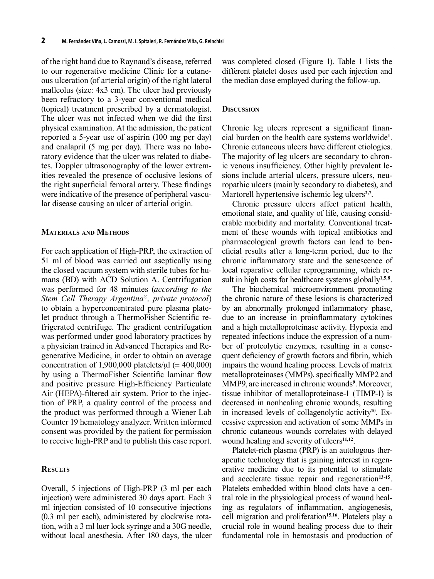of the right hand due to Raynaud's disease, referred to our regenerative medicine Clinic for a cutaneous ulceration (of arterial origin) of the right lateral malleolus (size: 4x3 cm). The ulcer had previously been refractory to a 3-year conventional medical (topical) treatment prescribed by a dermatologist. The ulcer was not infected when we did the first physical examination. At the admission, the patient reported a 5-year use of aspirin (100 mg per day) and enalapril (5 mg per day). There was no laboratory evidence that the ulcer was related to diabetes. Doppler ultrasonography of the lower extremities revealed the presence of occlusive lesions of the right superficial femoral artery. These findings were indicative of the presence of peripheral vascular disease causing an ulcer of arterial origin.

### **Materials and Methods**

For each application of High-PRP, the extraction of 51 ml of blood was carried out aseptically using the closed vacuum system with sterile tubes for humans (BD) with ACD Solution A. Centrifugation was performed for 48 minutes (*according to the Stem Cell Therapy Argentina*®*, private protocol*) to obtain a hyperconcentrated pure plasma platelet product through a ThermoFisher Scientific refrigerated centrifuge. The gradient centrifugation was performed under good laboratory practices by a physician trained in Advanced Therapies and Regenerative Medicine, in order to obtain an average concentration of 1,900,000 platelets/ $\mu$ l ( $\pm$  400,000) by using a ThermoFisher Scientific laminar flow and positive pressure High-Efficiency Particulate Air (HEPA)-filtered air system. Prior to the injection of PRP, a quality control of the process and the product was performed through a Wiener Lab Counter 19 hematology analyzer. Written informed consent was provided by the patient for permission to receive high-PRP and to publish this case report.

# **Results**

Overall, 5 injections of High-PRP (3 ml per each injection) were administered 30 days apart. Each 3 ml injection consisted of 10 consecutive injections (0.3 ml per each), administered by clockwise rotation, with a 3 ml luer lock syringe and a 30G needle, without local anesthesia. After 180 days, the ulcer was completed closed (Figure 1). Table 1 lists the different platelet doses used per each injection and the median dose employed during the follow-up.

#### **Discussion**

Chronic leg ulcers represent a significant financial burden on the health care systems worldwide**<sup>1</sup>** . Chronic cutaneous ulcers have different etiologies. The majority of leg ulcers are secondary to chronic venous insufficiency. Other highly prevalent lesions include arterial ulcers, pressure ulcers, neuropathic ulcers (mainly secondary to diabetes), and Martorell hypertensive ischemic leg ulcers**2,7**.

Chronic pressure ulcers affect patient health, emotional state, and quality of life, causing considerable morbidity and mortality. Conventional treatment of these wounds with topical antibiotics and pharmacological growth factors can lead to beneficial results after a long-term period, due to the chronic inflammatory state and the senescence of local reparative cellular reprogramming, which result in high costs for healthcare systems globally**1,5,8**.

The biochemical microenvironment promoting the chronic nature of these lesions is characterized by an abnormally prolonged inflammatory phase, due to an increase in proinflammatory cytokines and a high metalloproteinase activity. Hypoxia and repeated infections induce the expression of a number of proteolytic enzymes, resulting in a consequent deficiency of growth factors and fibrin, which impairs the wound healing process. Levels of matrix metalloproteinases (MMPs), specifically MMP2 and MMP9, are increased in chronic wounds**<sup>9</sup>** . Moreover, tissue inhibitor of metalloproteinase-1 (TIMP-1) is decreased in nonhealing chronic wounds, resulting in increased levels of collagenolytic activity**10**. Excessive expression and activation of some MMPs in chronic cutaneous wounds correlates with delayed wound healing and severity of ulcers**11,12**.

Platelet-rich plasma (PRP) is an autologous therapeutic technology that is gaining interest in regenerative medicine due to its potential to stimulate and accelerate tissue repair and regeneration**13-15**. Platelets embedded within blood clots have a central role in the physiological process of wound healing as regulators of inflammation, angiogenesis, cell migration and proliferation**15,16**. Platelets play a crucial role in wound healing process due to their fundamental role in hemostasis and production of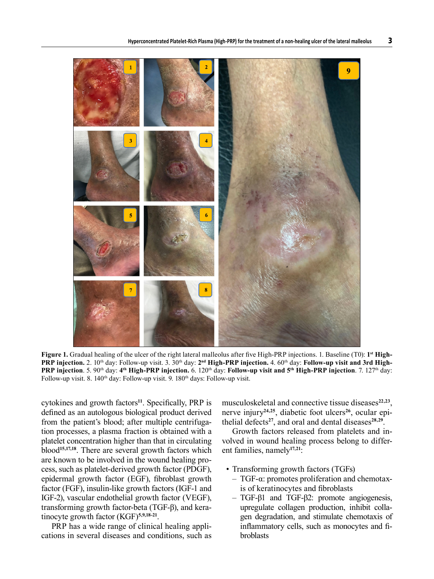

**Figure 1.** Gradual healing of the ulcer of the right lateral malleolus after five High-PRP injections. 1. Baseline (T0): 1<sup>st</sup> High-**PRP injection.** 2. 10<sup>th</sup> day: Follow-up visit. 3. 30<sup>th</sup> day: 2<sup>nd</sup> High-PRP injection. 4. 60<sup>th</sup> day: Follow-up visit and 3rd High-**PRP injection**. 5. 90<sup>th</sup> day: 4<sup>th</sup> High-PRP injection. 6. 120<sup>th</sup> day: **Follow-up visit and 5<sup>th</sup> High-PRP injection**. 7. 127<sup>th</sup> day: Follow-up visit. 8. 140<sup>th</sup> day: Follow-up visit. 9. 180<sup>th</sup> days: Follow-up visit.

cytokines and growth factors**<sup>11</sup>**. Specifically, PRP is defined as an autologous biological product derived from the patient's blood; after multiple centrifugation processes, a plasma fraction is obtained with a platelet concentration higher than that in circulating blood**15,17,18**. There are several growth factors which are known to be involved in the wound healing process, such as platelet-derived growth factor (PDGF), epidermal growth factor (EGF), fibroblast growth factor (FGF), insulin-like growth factors (IGF-1 and IGF-2), vascular endothelial growth factor (VEGF), transforming growth factor-beta (TGF-β), and keratinocyte growth factor (KGF)**5,9,18-21**.

PRP has a wide range of clinical healing applications in several diseases and conditions, such as musculoskeletal and connective tissue diseases<sup>22,23</sup>, nerve injury**24,25**, diabetic foot ulcers**26**, ocular epithelial defects**<sup>27</sup>**, and oral and dental diseases**28,29**.

Growth factors released from platelets and involved in wound healing process belong to different families, namely**17,21**:

- Transforming growth factors (TGFs)
	- TGF-α: promotes proliferation and chemotaxis of keratinocytes and fibroblasts
	- TGF-β1 and TGF-β2: promote angiogenesis, upregulate collagen production, inhibit collagen degradation, and stimulate chemotaxis of inflammatory cells, such as monocytes and fibroblasts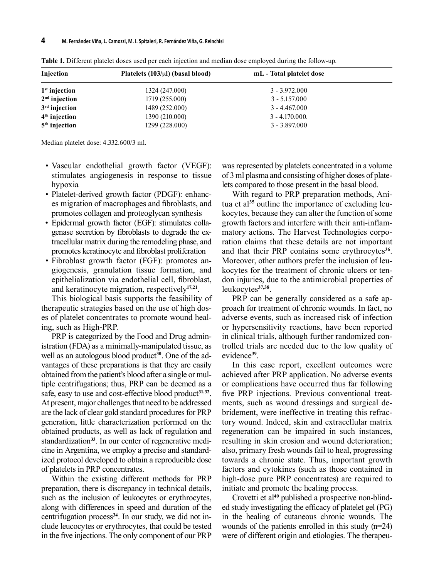| Injection       | Platelets $(103/\mu l)$ (basal blood) | mL - Total platelet dose |  |
|-----------------|---------------------------------------|--------------------------|--|
| $1st$ injection | 1324 (247.000)                        | $3 - 3.972.000$          |  |
| $2nd$ injection | 1719 (255.000)                        | $3 - 5.157000$           |  |
| $3rd$ injection | 1489 (252.000)                        | $3 - 4.467,000$          |  |
| $4th$ injection | 1390 (210.000)                        | $3 - 4.170.000$ .        |  |
| $5th$ injection | 1299 (228.000)                        | $3 - 3.897000$           |  |

**Table 1.** Different platelet doses used per each injection and median dose employed during the follow-up.

Median platelet dose: 4.332.600/3 ml.

- Vascular endothelial growth factor (VEGF): stimulates angiogenesis in response to tissue hypoxia
- Platelet-derived growth factor (PDGF): enhances migration of macrophages and fibroblasts, and promotes collagen and proteoglycan synthesis
- Epidermal growth factor (EGF): stimulates collagenase secretion by fibroblasts to degrade the extracellular matrix during the remodeling phase, and promotes keratinocyte and fibroblast proliferation
- Fibroblast growth factor (FGF): promotes angiogenesis, granulation tissue formation, and epithelialization via endothelial cell, fibroblast, and keratinocyte migration, respectively**17,21**.

This biological basis supports the feasibility of therapeutic strategies based on the use of high doses of platelet concentrates to promote wound healing, such as High-PRP.

PRP is categorized by the Food and Drug administration (FDA) as a minimally-manipulated tissue, as well as an autologous blood product**30**. One of the advantages of these preparations is that they are easily obtained from the patient's blood after a single or multiple centrifugations; thus, PRP can be deemed as a safe, easy to use and cost-effective blood product<sup>31,32</sup>. At present, major challenges that need to be addressed are the lack of clear gold standard procedures for PRP generation, little characterization performed on the obtained products, as well as lack of regulation and standardization<sup>33</sup>. In our center of regenerative medicine in Argentina, we employ a precise and standardized protocol developed to obtain a reproducible dose of platelets in PRP concentrates.

Within the existing different methods for PRP preparation, there is discrepancy in technical details, such as the inclusion of leukocytes or erythrocytes, along with differences in speed and duration of the centrifugation process**34**. In our study, we did not include leucocytes or erythrocytes, that could be tested in the five injections. The only component of our PRP was represented by platelets concentrated in a volume of 3 ml plasma and consisting of higher doses of platelets compared to those present in the basal blood.

With regard to PRP preparation methods, Anitua et al**35** outline the importance of excluding leukocytes, because they can alter the function of some growth factors and interfere with their anti-inflammatory actions. The Harvest Technologies corporation claims that these details are not important and that their PRP contains some erythrocytes**<sup>36</sup>**. Moreover, other authors prefer the inclusion of leukocytes for the treatment of chronic ulcers or tendon injuries, due to the antimicrobial properties of leukocytes**37,38**.

PRP can be generally considered as a safe approach for treatment of chronic wounds. In fact, no adverse events, such as increased risk of infection or hypersensitivity reactions, have been reported in clinical trials, although further randomized controlled trials are needed due to the low quality of evidence**<sup>39</sup>**.

In this case report, excellent outcomes were achieved after PRP application. No adverse events or complications have occurred thus far following five PRP injections. Previous conventional treatments, such as wound dressings and surgical debridement, were ineffective in treating this refractory wound. Indeed, skin and extracellular matrix regeneration can be impaired in such instances, resulting in skin erosion and wound deterioration; also, primary fresh wounds fail to heal, progressing towards a chronic state. Thus, important growth factors and cytokines (such as those contained in high-dose pure PRP concentrates) are required to initiate and promote the healing process.

Crovetti et al**40** published a prospective non-blinded study investigating the efficacy of platelet gel (PG) in the healing of cutaneous chronic wounds. The wounds of the patients enrolled in this study (n=24) were of different origin and etiologies. The therapeu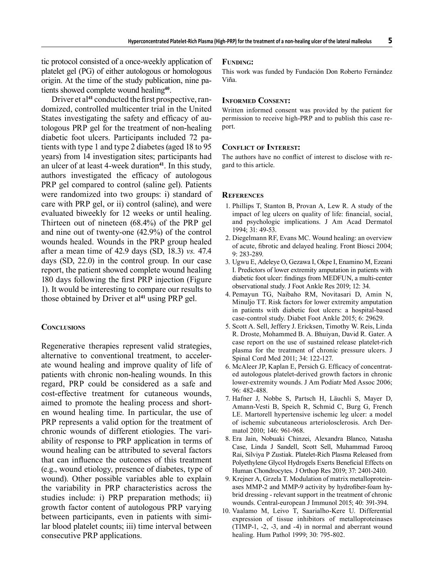tic protocol consisted of a once-weekly application of platelet gel (PG) of either autologous or homologous origin. At the time of the study publication, nine patients showed complete wound healing**<sup>40</sup>**.

Driver et al**<sup>41</sup>** conducted the first prospective, randomized, controlled multicenter trial in the United States investigating the safety and efficacy of autologous PRP gel for the treatment of non-healing diabetic foot ulcers. Participants included 72 patients with type 1 and type 2 diabetes (aged 18 to 95 years) from 14 investigation sites; participants had an ulcer of at least 4-week duration**<sup>41</sup>**. In this study, authors investigated the efficacy of autologous PRP gel compared to control (saline gel). Patients were randomized into two groups: i) standard of care with PRP gel, or ii) control (saline), and were evaluated biweekly for 12 weeks or until healing. Thirteen out of nineteen (68.4%) of the PRP gel and nine out of twenty-one (42.9%) of the control wounds healed. Wounds in the PRP group healed after a mean time of 42.9 days (SD, 18.3) *vs.* 47.4 days (SD, 22.0) in the control group. In our case report, the patient showed complete wound healing 180 days following the first PRP injection (Figure 1). It would be interesting to compare our results to those obtained by Driver et al**<sup>41</sup>** using PRP gel.

## **Conclusions**

Regenerative therapies represent valid strategies, alternative to conventional treatment, to accelerate wound healing and improve quality of life of patients with chronic non-healing wounds. In this regard, PRP could be considered as a safe and cost-effective treatment for cutaneous wounds, aimed to promote the healing process and shorten wound healing time. In particular, the use of PRP represents a valid option for the treatment of chronic wounds of different etiologies. The variability of response to PRP application in terms of wound healing can be attributed to several factors that can influence the outcomes of this treatment (e.g., wound etiology, presence of diabetes, type of wound). Other possible variables able to explain the variability in PRP characteristics across the studies include: i) PRP preparation methods; ii) growth factor content of autologous PRP varying between participants, even in patients with similar blood platelet counts; iii) time interval between consecutive PRP applications.

#### **Funding:**

This work was funded by Fundación Don Roberto Fernández Viña.

# **Informed Consent:**

Written informed consent was provided by the patient for permission to receive high-PRP and to publish this case report.

# **Conflict of Interest:**

The authors have no conflict of interest to disclose with regard to this article.

#### **References**

- 1. Phillips T, Stanton B, Provan A, Lew R. A study of the impact of leg ulcers on quality of life: financial, social, and psychologic implications. J Am Acad Dermatol 1994; 31: 49-53.
- 2. Diegelmann RF, Evans MC. Wound healing: an overview of acute, fibrotic and delayed healing. Front Biosci 2004; 9: 283-289.
- 3. Ugwu E, Adeleye O, Gezawa I, Okpe I, Enamino M, Ezeani I. Predictors of lower extremity amputation in patients with diabetic foot ulcer: findings from MEDFUN, a multi-center observational study. J Foot Ankle Res 2019; 12: 34.
- 4. Pemayun TG, Naibaho RM, Novitasari D, Amin N, Minuljo TT. Risk factors for lower extremity amputation in patients with diabetic foot ulcers: a hospital-based case-control study. Diabet Foot Ankle 2015; 6: 29629.
- 5. Scott A. Sell, Jeffery J. Ericksen, Timothy W. Reis, Linda R. Droste, Mohammed B. A. Bhuiyan, David R. Gater. A case report on the use of sustained release platelet-rich plasma for the treatment of chronic pressure ulcers. J Spinal Cord Med 2011; 34: 122-127.
- 6. McAleer JP, Kaplan E, Persich G. Efficacy of concentrated autologous platelet-derived growth factors in chronic lower-extremity wounds. J Am Podiatr Med Assoc 2006; 96: 482-488.
- 7. Hafner J, Nobbe S, Partsch H, Läuchli S, Mayer D, Amann-Vesti B, Speich R, Schmid C, Burg G, French LE. Martorell hypertensive ischemic leg ulcer: a model of ischemic subcutaneous arteriolosclerosis. Arch Dermatol 2010; 146: 961-968.
- 8. Era Jain, Nobuaki Chinzei, Alexandra Blanco, Natasha Case, Linda J Sandell, Scott Sell, Muhammad Farooq Rai, Silviya P Zustiak. Platelet-Rich Plasma Released from Polyethylene Glycol Hydrogels Exerts Beneficial Effects on Human Chondrocytes. J Orthop Res 2019; 37: 2401-2410.
- 9. Krejner A, Grzela T. Modulation of matrix metalloproteinases MMP-2 and MMP-9 activity by hydrofiber-foam hybrid dressing - relevant support in the treatment of chronic wounds. Central-european J Immunol 2015; 40: 391-394.
- 10. Vaalamo M, Leivo T, Saarialho-Kere U. Differential expression of tissue inhibitors of metalloproteinases (TIMP-1, -2, -3, and -4) in normal and aberrant wound healing. Hum Pathol 1999; 30: 795-802.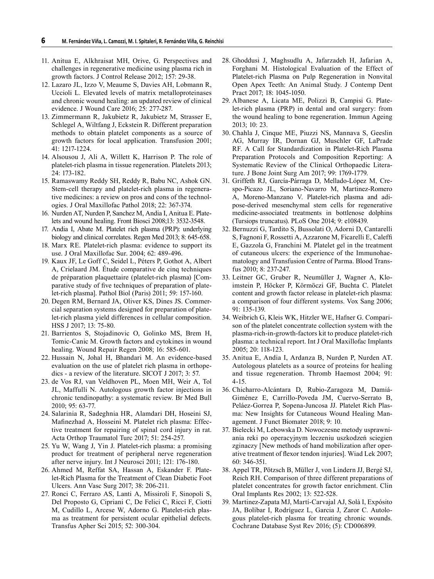- 11. Anitua E, Alkhraisat MH, Orive, G. Perspectives and challenges in regenerative medicine using plasma rich in growth factors. J Control Release 2012; 157: 29-38.
- 12. Lazaro JL, Izzo V, Meaume S, Davies AH, Lobmann R, Uccioli L. Elevated levels of matrix metalloproteinases and chronic wound healing: an updated review of clinical evidence. J Wound Care 2016; 25: 277-287.
- 13. Zimmermann R, Jakubietz R, Jakubietz M, Strasser E, Schlegel A, Wiltfang J, Eckstein R. Different preparation methods to obtain platelet components as a source of growth factors for local application. Transfusion 2001; 41: 1217-1224.
- 14. Alsousou J, Ali A, Willett K, Harrison P. The role of platelet-rich plasma in tissue regeneration. Platelets 2013; 24: 173-182.
- 15. Ramaswamy Reddy SH, Reddy R, Babu NC, Ashok GN. Stem-cell therapy and platelet-rich plasma in regenerative medicines: a review on pros and cons of the technologies. J Oral Maxillofac Pathol 2018; 22: 367-374.
- 16. Nurden AT, Nurden P, Sanchez M, Andia I, Anitua E. Platelets and wound healing. Front Biosci 2008;13: 3532-3548.
- 17. Andia I, Abate M. Platelet rich plasma (PRP): underlying biology and clinical correlates. Regen Med 2013; 8: 645-658.
- 18. Marx RE. Platelet-rich plasma: evidence to support its use. J Oral Maxillofac Sur. 2004; 62: 489-496.
- 19. Kaux JF, Le Goff C, Seidel L, Péters P, Gothot A, Albert A, Crielaard JM. Étude comparative de cinq techniques de préparation plaquettaire (platelet-rich plasma) [Comparative study of five techniques of preparation of platelet-rich plasma]. Pathol Biol (Paris) 2011; 59: 157-160.
- 20. Degen RM, Bernard JA, Oliver KS, Dines JS. Commercial separation systems designed for preparation of platelet-rich plasma yield differences in cellular composition. HSS J 2017; 13: 75-80.
- 21. Barrientos S, Stojadinovic O, Golinko MS, Brem H, Tomic-Canic M. Growth factors and cytokines in wound healing. Wound Repair Regen 2008; 16: 585-601.
- 22. Hussain N, Johal H, Bhandari M. An evidence-based evaluation on the use of platelet rich plasma in orthopedics - a review of the literature. SICOT J 2017; 3: 57.
- 23. de Vos RJ, van Veldhoven PL, Moen MH, Weir A, Tol JL, Maffulli N. Autologous growth factor injections in chronic tendinopathy: a systematic review. Br Med Bull 2010; 95: 63-77.
- 24. Salarinia R, Sadeghnia HR, Alamdari DH, Hoseini SJ, Mafinezhad A, Hosseini M. Platelet rich plasma: Effective treatment for repairing of spinal cord injury in rat. Acta Orthop Traumatol Turc 2017; 51: 254-257.
- 25. Yu W, Wang J, Yin J. Platelet-rich plasma: a promising product for treatment of peripheral nerve regeneration after nerve injury. Int J Neurosci 2011; 121: 176-180.
- 26. Ahmed M, Reffat SA, Hassan A, Eskander F. Platelet-Rich Plasma for the Treatment of Clean Diabetic Foot Ulcers. Ann Vasc Surg 2017; 38: 206-211.
- 27. Ronci C, Ferraro AS, Lanti A, Missiroli F, Sinopoli S, Del Proposto G, Cipriani C, De Felici C, Ricci F, Ciotti M, Cudillo L, Arcese W, Adorno G. Platelet-rich plasma as treatment for persistent ocular epithelial defects. Transfus Apher Sci 2015; 52: 300-304.
- 28. Ghoddusi J, Maghsudlu A, Jafarzadeh H, Jafarian A, Forghani M. Histological Evaluation of the Effect of Platelet-rich Plasma on Pulp Regeneration in Nonvital Open Apex Teeth: An Animal Study. J Contemp Dent Pract 2017; 18: 1045-1050.
- 29. Albanese A, Licata ME, Polizzi B, Campisi G. Platelet-rich plasma (PRP) in dental and oral surgery: from the wound healing to bone regeneration. Immun Ageing 2013; 10: 23.
- 30. Chahla J, Cinque ME, Piuzzi NS, Mannava S, Geeslin AG, Murray IR, Dornan GJ, Muschler GF, LaPrade RF. A Call for Standardization in Platelet-Rich Plasma Preparation Protocols and Composition Reporting: A Systematic Review of the Clinical Orthopaedic Literature. J Bone Joint Surg Am 2017; 99: 1769-1779.
- 31. Griffeth RJ, García-Párraga D, Mellado-López M, Crespo-Picazo JL, Soriano-Navarro M, Martinez-Romero A, Moreno-Manzano V. Platelet-rich plasma and adipose-derived mesenchymal stem cells for regenerative medicine-associated treatments in bottlenose dolphins (Tursiops truncatus). PLoS One 2014; 9: e108439.
- 32. Bernuzzi G, Tardito S, Bussolati O, Adorni D, Cantarelli S, Fagnoni F, Rossetti A, Azzarone M, Ficarelli E, Caleffi E, Gazzola G, Franchini M. Platelet gel in the treatment of cutaneous ulcers: the experience of the Immunohaematology and Transfusion Centre of Parma. Blood Transfus 2010; 8: 237-247.
- 33. Leitner GC, Gruber R, Neumüller J, Wagner A, Kloimstein P, Höcker P, Körmöczi GF, Buchta C. Platelet content and growth factor release in platelet-rich plasma: a comparison of four different systems. Vox Sang 2006; 91: 135-139.
- 34. Weibrich G, Kleis WK, Hitzler WE, Hafner G. Comparison of the platelet concentrate collection system with the plasma-rich-in-growth-factors kit to produce platelet-rich plasma: a technical report. Int J Oral Maxillofac Implants 2005; 20: 118-123.
- 35. Anitua E, Andia I, Ardanza B, Nurden P, Nurden AT. Autologous platelets as a source of proteins for healing and tissue regeneration. Thromb Haemost 2004; 91: 4-15.
- 36. Chicharro-Alcántara D, Rubio-Zaragoza M, Damiá-Giménez E, Carrillo-Poveda JM, Cuervo-Serrato B, Peláez-Gorrea P, Sopena-Juncosa JJ. Platelet Rich Plasma: New Insights for Cutaneous Wound Healing Management. J Funct Biomater 2018; 9: 10.
- 37. Bielecki M, Lebowska D. Nowoczesne metody usprawniania reki po operacyjnym leczeniu uszkodzeń sciegien zginaczy [New methods of hand mobilization after operative treatment of flexor tendon injuries]. Wiad Lek 2007; 60: 346-351.
- 38. Appel TR, Pötzsch B, Müller J, von Lindern JJ, Bergé SJ, Reich RH. Comparison of three different preparations of platelet concentrates for growth factor enrichment. Clin Oral Implants Res 2002; 13: 522-528.
- 39. Martinez-Zapata MJ, Martí-Carvajal AJ, Solà I, Expósito JA, Bolíbar I, Rodríguez L, Garcia J, Zaror C. Autologous platelet-rich plasma for treating chronic wounds. Cochrane Database Syst Rev 2016; (5): CD006899.